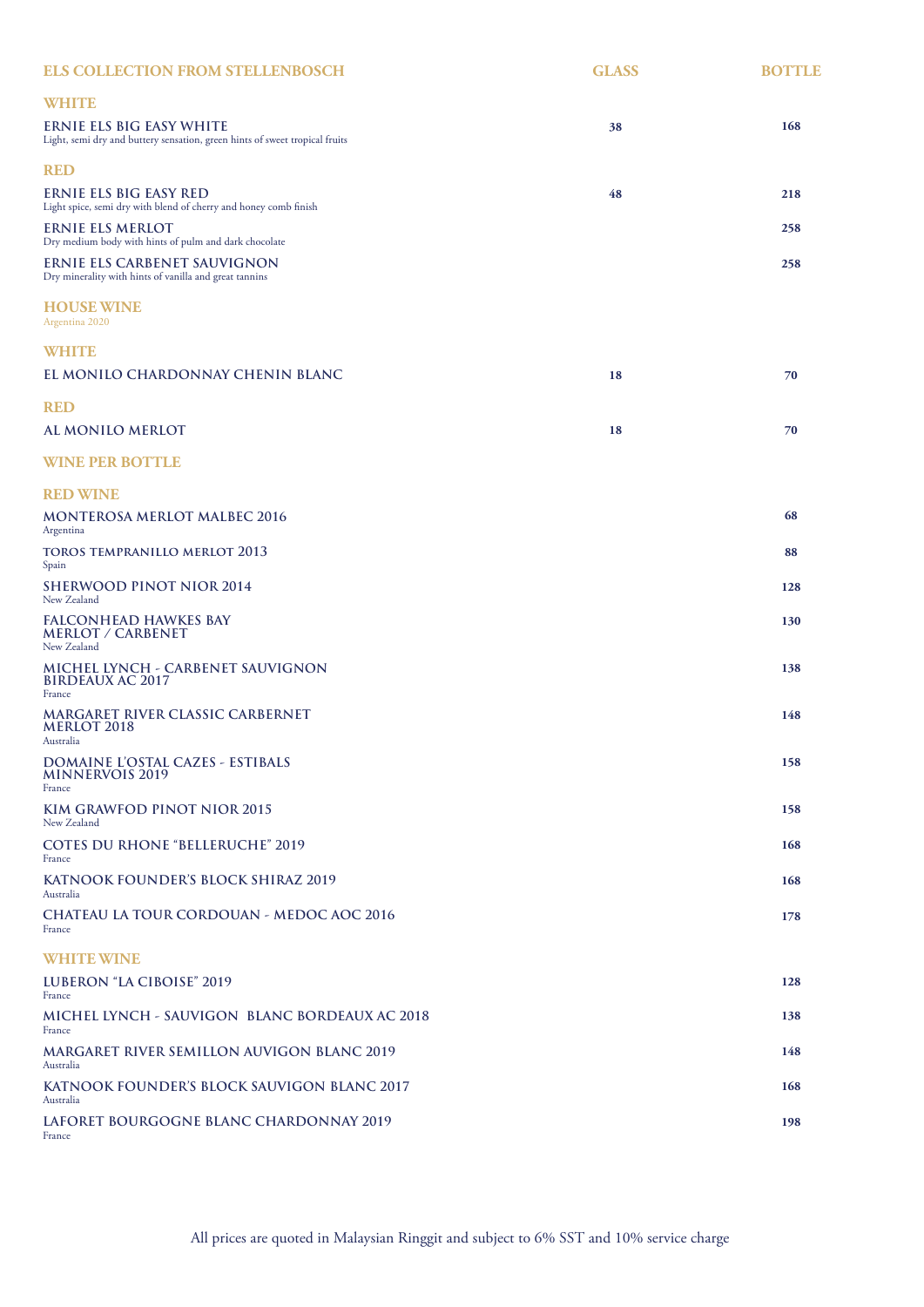| <b>ELS COLLECTION FROM STELLENBOSCH</b>                                                                 | <b>GLASS</b> | <b>BOTTLE</b> |
|---------------------------------------------------------------------------------------------------------|--------------|---------------|
| WHITE                                                                                                   |              |               |
| ERNIE ELS BIG EASY WHITE<br>Light, semi dry and buttery sensation, green hints of sweet tropical fruits | 38           | 168           |
| <b>RED</b>                                                                                              |              |               |
| ERNIE ELS BIG EASY RED<br>Light spice, semi dry with blend of cherry and honey comb finish              | 48           | 218           |
| ERNIE ELS MERLOT<br>Dry medium body with hints of pulm and dark chocolate                               |              | 258           |
| ERNIE ELS CARBENET SAUVIGNON<br>Dry minerality with hints of vanilla and great tannins                  |              | 258           |
| <b>HOUSE WINE</b><br>Argentina 2020                                                                     |              |               |
| <b>WHITE</b>                                                                                            |              |               |
| EL MONILO CHARDONNAY CHENIN BLANC                                                                       | 18           | 70            |
| <b>RED</b>                                                                                              |              |               |
| AL MONILO MERLOT                                                                                        | 18           | 70            |
| <b>WINE PER BOTTLE</b>                                                                                  |              |               |
| <b>RED WINE</b>                                                                                         |              |               |
| <b>MONTEROSA MERLOT MALBEC 2016</b><br>Argentina                                                        |              | 68            |
| toros tempranillo merlot 2013<br>Spain                                                                  |              | 88            |
| SHERWOOD PINOT NIOR 2014<br>New Zealand                                                                 |              | 128           |
| FALCONHEAD HAWKES BAY<br><b>MERLOT / CARBENET</b><br>New Zealand                                        |              | 130           |
| MICHEL LYNCH - CARBENET SAUVIGNON<br><b>BIRDEAUX AC 2017</b><br>France                                  |              | 138           |
| MARGARET RIVER CLASSIC CARBERNET<br>MERLOT 2018<br>Australia                                            |              | 148           |
| DOMAINE L'OSTAL CAZES - ESTIBALS<br><b>MINNERVOIS 2019</b><br>France                                    |              | 158           |
| KIM GRAWFOD PINOT NIOR 2015<br>New Zealand                                                              |              | 158           |
| COTES DU RHONE "BELLERUCHE" 2019<br>France                                                              |              | 168           |
| KATNOOK FOUNDER'S BLOCK SHIRAZ 2019<br>Australia                                                        |              | 168           |
| CHATEAU LA TOUR CORDOUAN - MEDOC AOC 2016<br>France                                                     |              | 178           |
| <b>WHITE WINE</b>                                                                                       |              |               |
| LUBERON "LA CIBOISE" 2019<br>France                                                                     |              | 128           |
| MICHEL LYNCH - SAUVIGON  BLANC BORDEAUX AC 2018<br>France                                               |              | 138           |
| MARGARET RIVER SEMILLON AUVIGON BLANC 2019<br>Australia                                                 |              | 148           |
| KATNOOK FOUNDER'S BLOCK SAUVIGON BLANC 2017<br>Australia                                                |              | 168           |
| LAFORET BOURGOGNE BLANC CHARDONNAY 2019<br>France                                                       |              | 198           |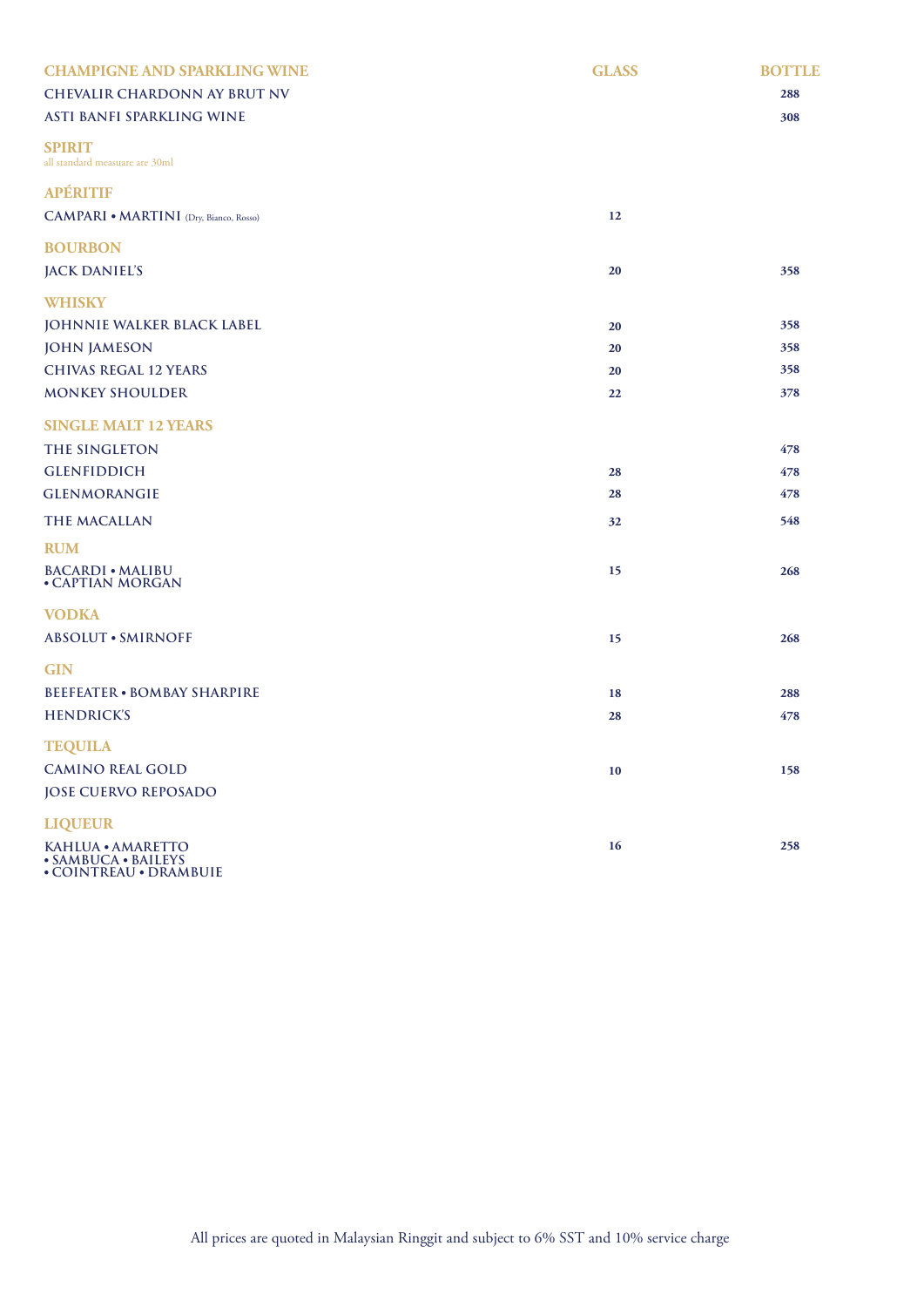| <b>CHAMPIGNE AND SPARKLING WINE</b><br><b>CHEVALIR CHARDONN AY BRUT NV</b><br>ASTI BANFI SPARKLING WINE | <b>GLASS</b> | <b>BOTTLE</b><br>288<br>308 |
|---------------------------------------------------------------------------------------------------------|--------------|-----------------------------|
| <b>SPIRIT</b><br>all standard measuare are 30ml                                                         |              |                             |
| <b>APÉRITIF</b>                                                                                         |              |                             |
| <b>CAMPARI • MARTINI</b> (Dry, Bianco, Rosso)                                                           | 12           |                             |
| <b>BOURBON</b><br><b>JACK DANIEL'S</b>                                                                  | 20           | 358                         |
| <b>WHISKY</b>                                                                                           |              |                             |
| JOHNNIE WALKER BLACK LABEL                                                                              | 20           | 358                         |
| <b>JOHN JAMESON</b>                                                                                     | 20           | 358                         |
| <b>CHIVAS REGAL 12 YEARS</b>                                                                            | 20           | 358                         |
| <b>MONKEY SHOULDER</b>                                                                                  | 22           | 378                         |
| <b>SINGLE MALT 12 YEARS</b>                                                                             |              |                             |
| THE SINGLETON                                                                                           |              | 478                         |
| <b>GLENFIDDICH</b>                                                                                      | 28           | 478                         |
| <b>GLENMORANGIE</b>                                                                                     | 28           | 478                         |
| THE MACALLAN                                                                                            | 32           | 548                         |
| <b>RUM</b>                                                                                              |              |                             |
| <b>BACARDI • MALIBU</b><br>• CAPTIAN MORGAN                                                             | 15           | 268                         |
| <b>VODKA</b>                                                                                            |              |                             |
| <b>ABSOLUT • SMIRNOFF</b>                                                                               | 15           | 268                         |
| <b>GIN</b>                                                                                              |              |                             |
| <b>BEEFEATER · BOMBAY SHARPIRE</b>                                                                      | 18           | 288                         |
| <b>HENDRICK'S</b>                                                                                       | 28           | 478                         |
| <b>TEQUILA</b>                                                                                          |              |                             |
| <b>CAMINO REAL GOLD</b>                                                                                 | $10\,$       | 158                         |
| <b>JOSE CUERVO REPOSADO</b>                                                                             |              |                             |
| <b>LIQUEUR</b>                                                                                          |              |                             |
| KAHLUA • AMARETTO<br>• SAMBUCA • BAILEYS                                                                | 16           | 258                         |
|                                                                                                         |              |                             |

**• COINTREAU • DRAMBUIE**